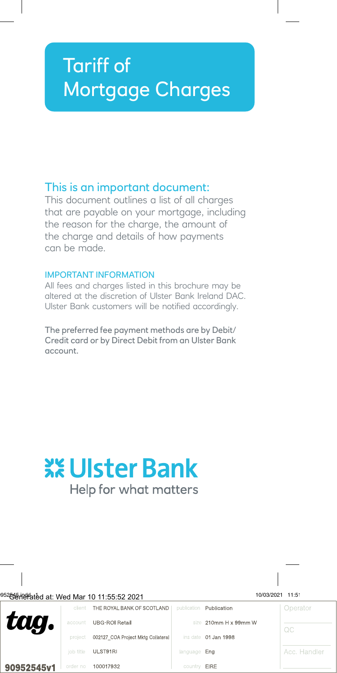# Tariff of Mortgage Charges

# This is an important document:

This document outlines a list of all charges that are payable on your mortgage, including the reason for the charge, the amount of the charge and details of how payments can be made.

#### IMPORTANT INFORMATION

All fees and charges listed in this brochure may be altered at the discretion of Ulster Bank Ireland DAC. Ulster Bank customers will be notified accordingly.

The preferred fee payment methods are by Debit/ Credit card or by Direct Debit from an Ulster Bank account.